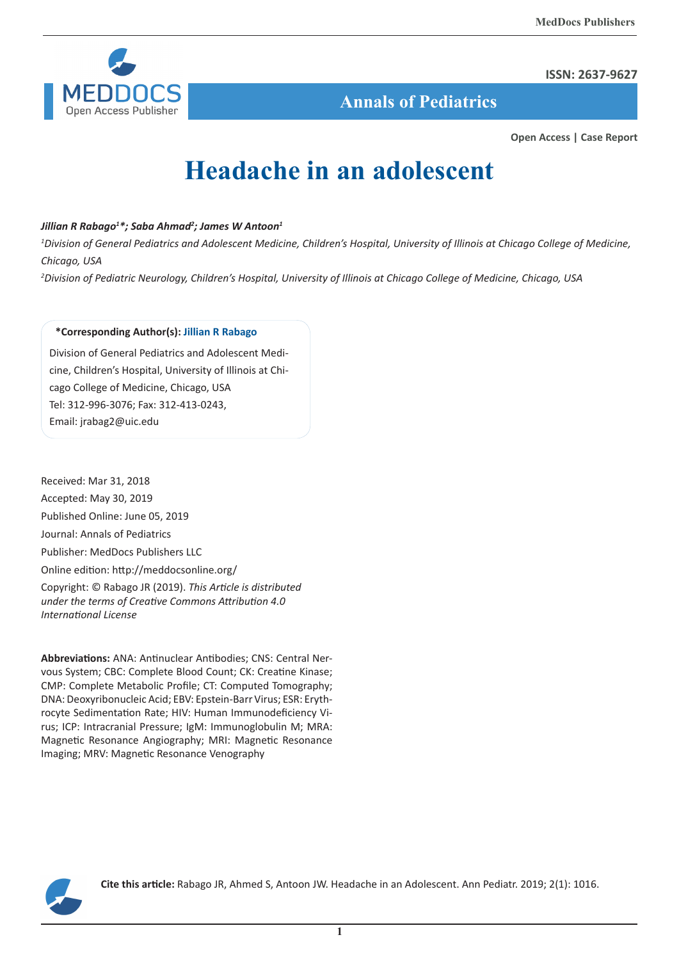

**ISSN: 2637-9627**

 **Annals of Pediatrics**

**Open Access | Case Report**

# **Headache in an adolescent**

## *Jillian R Rabago1 \*; Saba Ahmad2 ; James W Antoon1*

<sup>1</sup>Division of General Pediatrics and Adolescent Medicine, Children's Hospital, University of Illinois at Chicago College of Medicine, *Chicago, USA*

*2 Division of Pediatric Neurology, Children's Hospital, University of Illinois at Chicago College of Medicine, Chicago, USA*

## **\*Corresponding Author(s): Jillian R Rabago**

Division of General Pediatrics and Adolescent Medicine, Children's Hospital, University of Illinois at Chicago College of Medicine, Chicago, USA Tel: 312-996-3076; Fax: 312-413-0243, Email: jrabag2@uic.edu

Received: Mar 31, 2018 Accepted: May 30, 2019 Published Online: June 05, 2019 Journal: Annals of Pediatrics Publisher: MedDocs Publishers LLC Online edition: http://meddocsonline.org/

Copyright: © Rabago JR (2019). *This Article is distributed under the terms of Creative Commons Attribution 4.0 International License*

**Abbreviations:** ANA: Antinuclear Antibodies; CNS: Central Nervous System; CBC: Complete Blood Count; CK: Creatine Kinase; CMP: Complete Metabolic Profile; CT: Computed Tomography; DNA: Deoxyribonucleic Acid; EBV: Epstein-Barr Virus; ESR: Erythrocyte Sedimentation Rate; HIV: Human Immunodeficiency Virus; ICP: Intracranial Pressure; IgM: Immunoglobulin M; MRA: Magnetic Resonance Angiography; MRI: Magnetic Resonance Imaging; MRV: Magnetic Resonance Venography



**Cite this article:** Rabago JR, Ahmed S, Antoon JW. Headache in an Adolescent. Ann Pediatr. 2019; 2(1): 1016.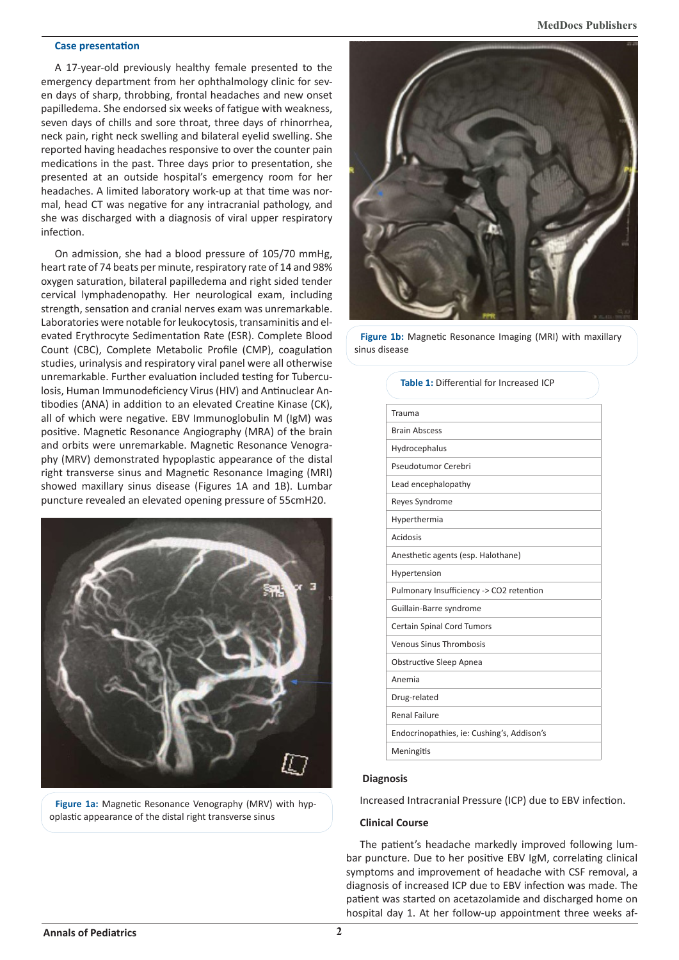#### **Case presentation**

A 17-year-old previously healthy female presented to the emergency department from her ophthalmology clinic for seven days of sharp, throbbing, frontal headaches and new onset papilledema. She endorsed six weeks of fatigue with weakness, seven days of chills and sore throat, three days of rhinorrhea, neck pain, right neck swelling and bilateral eyelid swelling. She reported having headaches responsive to over the counter pain medications in the past. Three days prior to presentation, she presented at an outside hospital's emergency room for her headaches. A limited laboratory work-up at that time was normal, head CT was negative for any intracranial pathology, and she was discharged with a diagnosis of viral upper respiratory infection.

On admission, she had a blood pressure of 105/70 mmHg, heart rate of 74 beats per minute, respiratory rate of 14 and 98% oxygen saturation, bilateral papilledema and right sided tender cervical lymphadenopathy. Her neurological exam, including strength, sensation and cranial nerves exam was unremarkable. Laboratories were notable for leukocytosis, transaminitis and elevated Erythrocyte Sedimentation Rate (ESR). Complete Blood Count (CBC), Complete Metabolic Profile (CMP), coagulation studies, urinalysis and respiratory viral panel were all otherwise unremarkable. Further evaluation included testing for Tuberculosis, Human Immunodeficiency Virus (HIV) and Antinuclear Antibodies (ANA) in addition to an elevated Creatine Kinase (CK), all of which were negative. EBV Immunoglobulin M (IgM) was positive. Magnetic Resonance Angiography (MRA) of the brain and orbits were unremarkable. Magnetic Resonance Venography (MRV) demonstrated hypoplastic appearance of the distal right transverse sinus and Magnetic Resonance Imaging (MRI) showed maxillary sinus disease (Figures 1A and 1B). Lumbar puncture revealed an elevated opening pressure of 55cmH20.



**Figure 1a:** Magnetic Resonance Venography (MRV) with hypoplastic appearance of the distal right transverse sinus



**Figure 1b:** Magnetic Resonance Imaging (MRI) with maxillary sinus disease

| Table 1: Differential for Increased ICP    |
|--------------------------------------------|
| Trauma                                     |
| <b>Brain Abscess</b>                       |
| Hydrocephalus                              |
| Pseudotumor Cerebri                        |
| Lead encephalopathy                        |
| Reyes Syndrome                             |
| Hyperthermia                               |
| Acidosis                                   |
| Anesthetic agents (esp. Halothane)         |
| Hypertension                               |
| Pulmonary Insufficiency -> CO2 retention   |
| Guillain-Barre syndrome                    |
| <b>Certain Spinal Cord Tumors</b>          |
| <b>Venous Sinus Thrombosis</b>             |
| <b>Obstructive Sleep Apnea</b>             |
| Anemia                                     |
| Drug-related                               |
| <b>Renal Failure</b>                       |
| Endocrinopathies, ie: Cushing's, Addison's |
| Meningitis                                 |

## **Diagnosis**

Increased Intracranial Pressure (ICP) due to EBV infection.

## **Clinical Course**

The patient's headache markedly improved following lumbar puncture. Due to her positive EBV IgM, correlating clinical symptoms and improvement of headache with CSF removal, a diagnosis of increased ICP due to EBV infection was made. The patient was started on acetazolamide and discharged home on hospital day 1. At her follow-up appointment three weeks af